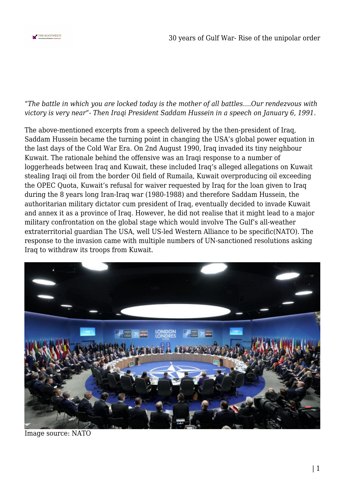

## *"The battle in which you are locked today is the mother of all battles….Our rendezvous with victory is very near"- Then Iraqi President Saddam Hussein in a speech on January 6, 1991.*

The above-mentioned excerpts from a speech delivered by the then-president of Iraq, Saddam Hussein became the turning point in changing the USA's global power equation in the last days of the Cold War Era. On 2nd August 1990, Iraq invaded its tiny neighbour Kuwait. The rationale behind the offensive was an Iraqi response to a number of loggerheads between Iraq and Kuwait, these included Iraq's alleged allegations on Kuwait stealing Iraqi oil from the border Oil field of Rumaila, Kuwait overproducing oil exceeding the OPEC Quota, Kuwait's refusal for waiver requested by Iraq for the loan given to Iraq during the 8 years long Iran-Iraq war (1980-1988) and therefore Saddam Hussein, the authoritarian military dictator cum president of Iraq, eventually decided to invade Kuwait and annex it as a province of Iraq. However, he did not realise that it might lead to a major military confrontation on the global stage which would involve The Gulf's all-weather extraterritorial guardian The USA, well US-led Western Alliance to be specific(NATO). The response to the invasion came with multiple numbers of UN-sanctioned resolutions asking Iraq to withdraw its troops from Kuwait.



Image source: NATO